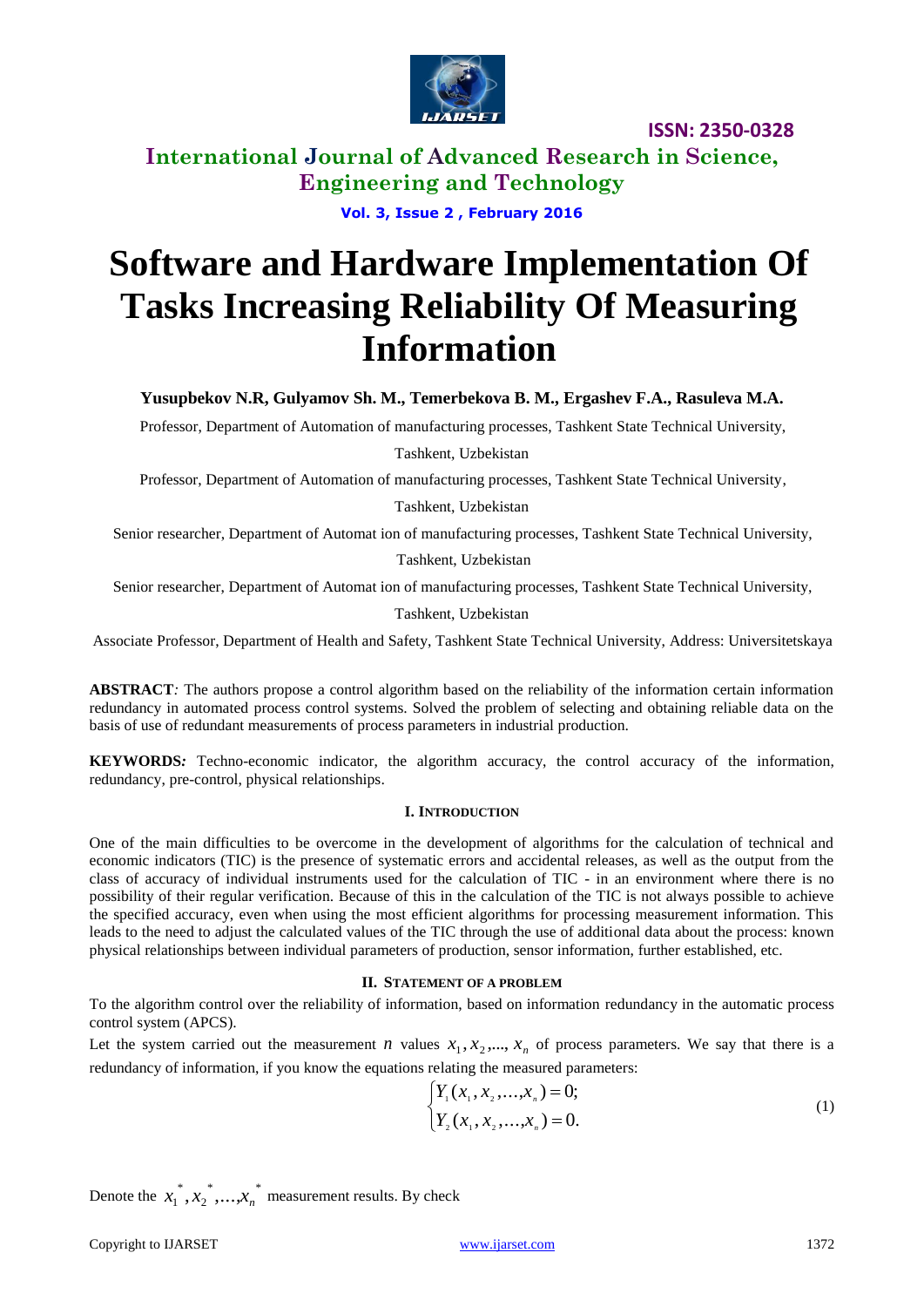

**International Journal of Advanced Research in Science, Engineering and Technology**

**Vol. 3, Issue 2 , February 2016**

# **Software and Hardware Implementation Of Tasks Increasing Reliability Of Measuring Information**

**Yusupbekov N.R, Gulyamov Sh. M., Temerbekova B. M., Ergashev F.A., Rasuleva M.A.**

Professor, Department of Automation of manufacturing processes, Tashkent State Technical University,

Tashkent, Uzbekistan

Professor, Department of Automation of manufacturing processes, Tashkent State Technical University,

Tashkent, Uzbekistan

Senior researcher, Department of Automat ion of manufacturing processes, Tashkent State Technical University,

Tashkent, Uzbekistan

Senior researcher, Department of Automat ion of manufacturing processes, Tashkent State Technical University,

Tashkent, Uzbekistan

Associate Professor, Department of Health and Safety, Tashkent State Technical University, Address: Universitetskaya

**ABSTRACT***:* The authors propose a control algorithm based on the reliability of the information certain information redundancy in automated process control systems. Solved the problem of selecting and obtaining reliable data on the basis of use of redundant measurements of process parameters in industrial production.

**KEYWORDS***:* Techno-economic indicator, the algorithm accuracy, the control accuracy of the information, redundancy, pre-control, physical relationships.

### **I. INTRODUCTION**

One of the main difficulties to be overcome in the development of algorithms for the calculation of technical and economic indicators (TIC) is the presence of systematic errors and accidental releases, as well as the output from the class of accuracy of individual instruments used for the calculation of TIC - in an environment where there is no possibility of their regular verification. Because of this in the calculation of the TIC is not always possible to achieve the specified accuracy, even when using the most efficient algorithms for processing measurement information. This leads to the need to adjust the calculated values of the TIC through the use of additional data about the process: known physical relationships between individual parameters of production, sensor information, further established, etc.

#### **II. STATEMENT OF A PROBLEM**

To the algorithm control over the reliability of information, based on information redundancy in the automatic process control system (APCS).

Let the system carried out the measurement *n* values  $x_1, x_2, ..., x_n$  of process parameters. We say that there is a redundancy of information, if you know the equations relating the measured parameters:

$$
\begin{cases} Y_1(x_1, x_2, \dots, x_n) = 0; \\ Y_2(x_1, x_2, \dots, x_n) = 0. \end{cases}
$$
 (1)

Denote the  $x_1^*, x_2^*, \ldots, x_n^*$ 2 \*  $x_1^{\dagger}, x_2^{\dagger}, \ldots, x_n^{\dagger}$  measurement results. By check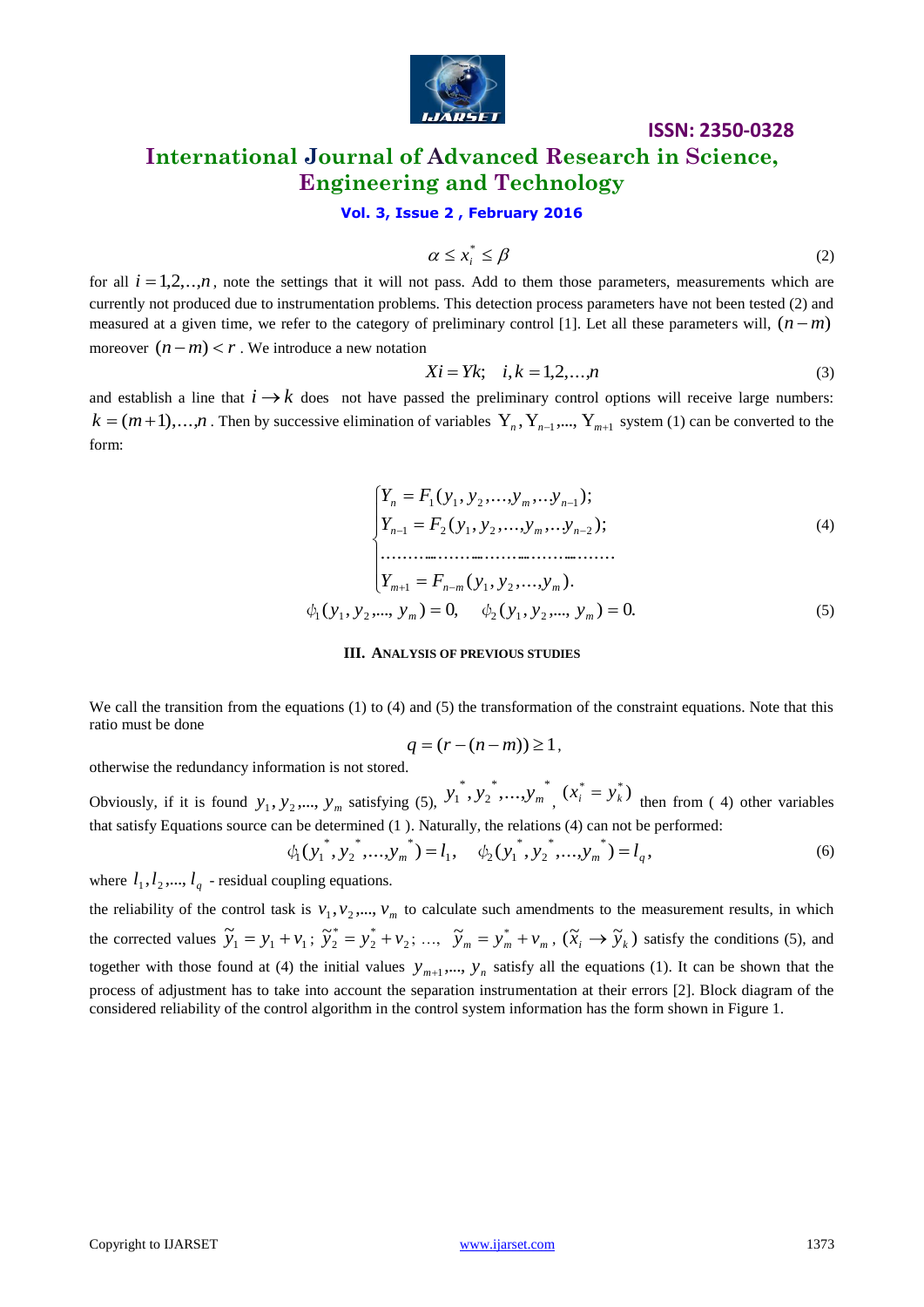

# **ISSN: 2350-0328 International Journal of Advanced Research in Science, Engineering and Technology**

### **Vol. 3, Issue 2 , February 2016**

$$
\alpha \leq x_i^* \leq \beta \tag{2}
$$

for all  $i = 1,2, \ldots, n$ , note the settings that it will not pass. Add to them those parameters, measurements which are currently not produced due to instrumentation problems. This detection process parameters have not been tested (2) and measured at a given time, we refer to the category of preliminary control [1]. Let all these parameters will,  $(n-m)$ moreover  $(n-m) < r$ . We introduce a new notation

$$
Xi = Yk; \quad i, k = 1, 2, \dots, n
$$
\n<sup>(3)</sup>

and establish a line that  $i \rightarrow k$  does not have passed the preliminary control options will receive large numbers:  $k = (m+1),...,n$ . Then by successive elimination of variables  $Y_n, Y_{n-1},..., Y_{m+1}$  system (1) can be converted to the form:

$$
\begin{cases}\nY_n = F_1(y_1, y_2, \dots, y_m, \dots, y_{n-1}); \\
Y_{n-1} = F_2(y_1, y_2, \dots, y_m, \dots, y_{n-2}); \\
\vdots \\
Y_{m+1} = F_{n-m}(y_1, y_2, \dots, y_m).\n\end{cases}
$$
\n
$$
\phi_1(y_1, y_2, \dots, y_m) = 0, \quad \phi_2(y_1, y_2, \dots, y_m) = 0.
$$
\n(5)

#### **III. ANALYSIS OF PREVIOUS STUDIES**

We call the transition from the equations (1) to (4) and (5) the transformation of the constraint equations. Note that this ratio must be done

$$
q = (r - (n - m)) \ge 1,
$$

otherwise the redundancy information is not stored.

Obviously, if it is found  $y_1, y_2, \dots, y_m$  satisfying (5), \* \* 2 \*  $y_1^*, y_2^*, \ldots, y_m^*, (x_i^* = y_k^*)$  $x_i^* = y_k^*$ ) then from (4) other variables that satisfy Equations source can be determined (1 ). Naturally, the relations (4) can not be performed:

$$
\phi_1(y_1^*, y_2^*, \dots, y_m^*) = l_1, \quad \phi_2(y_1^*, y_2^*, \dots, y_m^*) = l_q,
$$
\n(6)

where  $l_1, l_2, ..., l_q$  - residual coupling equations.

for all  $t = 12...n$ , note the votings that it will as  $p_{\text{NS}} = \lambda^2$ . (A)<br>
the minimizarization of the contemporation problems This decision powers parameters, accounted to the context<br>
measured of a given time, we refer to the reliability of the control task is  $v_1, v_2, ..., v_m$  to calculate such amendments to the measurement results, in which the corrected values  $\widetilde{y}_1 = y_1 + v_1$ ;  $\widetilde{y}_2^* = y_2^* + v_2$ \* 2 \*  $\widetilde{y}_2^* = y_2^* + v_2; \dots$ ,  $\widetilde{y}_m = y_m^* + v_m$ ,  $(\widetilde{x}_i \rightarrow \widetilde{y}_k)$  satisfy the conditions (5), and together with those found at (4) the initial values  $y_{m+1},..., y_n$  satisfy all the equations (1). It can be shown that the process of adjustment has to take into account the separation instrumentation at their errors [2]. Block diagram of the considered reliability of the control algorithm in the control system information has the form shown in Figure 1.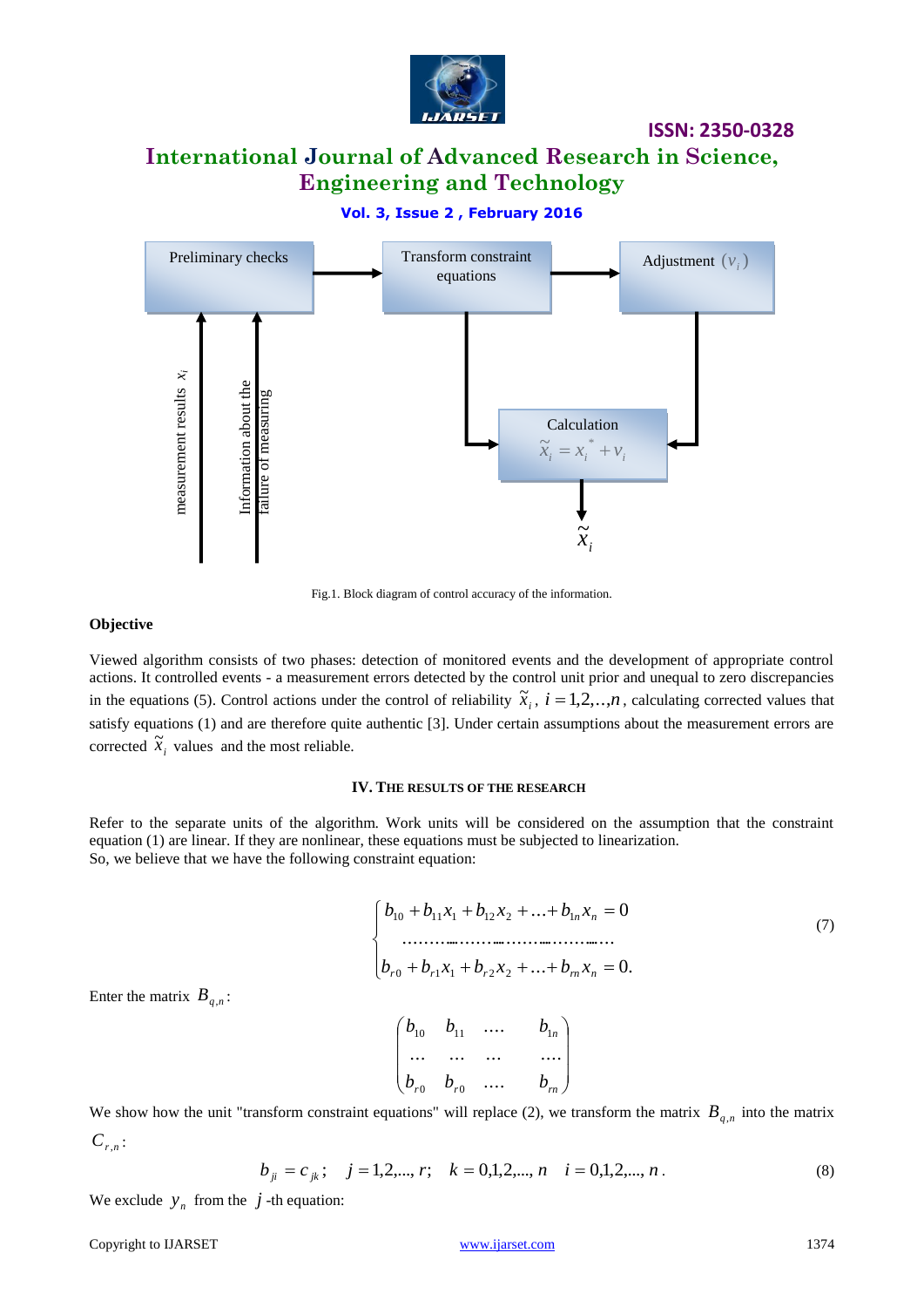

# **International Journal of Advanced Research in Science, Engineering and Technology**

### **Vol. 3, Issue 2 , February 2016**



Fig.1. Block diagram of control accuracy of the information.

### **Objective**

Viewed algorithm consists of two phases: detection of monitored events and the development of appropriate control actions. It controlled events - a measurement errors detected by the control unit prior and unequal to zero discrepancies in the equations (5). Control actions under the control of reliability  $\tilde{x}_i$ ,  $i = 1,2,..,n$ , calculating corrected values that satisfy equations (1) and are therefore quite authentic [3]. Under certain assumptions about the measurement errors are corrected  $\tilde{x}_i$  values and the most reliable.

### **IV. THE RESULTS OF THE RESEARCH**

Refer to the separate units of the algorithm. Work units will be considered on the assumption that the constraint equation (1) are linear. If they are nonlinear, these equations must be subjected to linearization. So, we believe that we have the following constraint equation:

$$
\begin{cases}\nb_{10} + b_{11}x_1 + b_{12}x_2 + \dots + b_{1n}x_n = 0 \\
\dots \\
b_{r0} + b_{r1}x_1 + b_{r2}x_2 + \dots + b_{m}x_n = 0.\n\end{cases}
$$
\n(7)

Enter the matrix  $B_{q,n}$ :

$$
\begin{pmatrix} b_{10} & b_{11} & \dots & b_{1n} \\ \dots & \dots & \dots & \dots \\ b_{r0} & b_{r0} & \dots & b_m \end{pmatrix}
$$

We show how the unit "transform constraint equations" will replace (2), we transform the matrix  $B_{q,n}$  into the matrix *Cr*,*<sup>n</sup>* :

$$
b_{ji} = c_{jk}; \quad j = 1, 2, \dots, r; \quad k = 0, 1, 2, \dots, n \quad i = 0, 1, 2, \dots, n \tag{8}
$$

We exclude  $y_n$  from the  $j$ -th equation:

#### Copyright to IJARSET [www.ijarset.com](http://www.ijarset.com/) 1374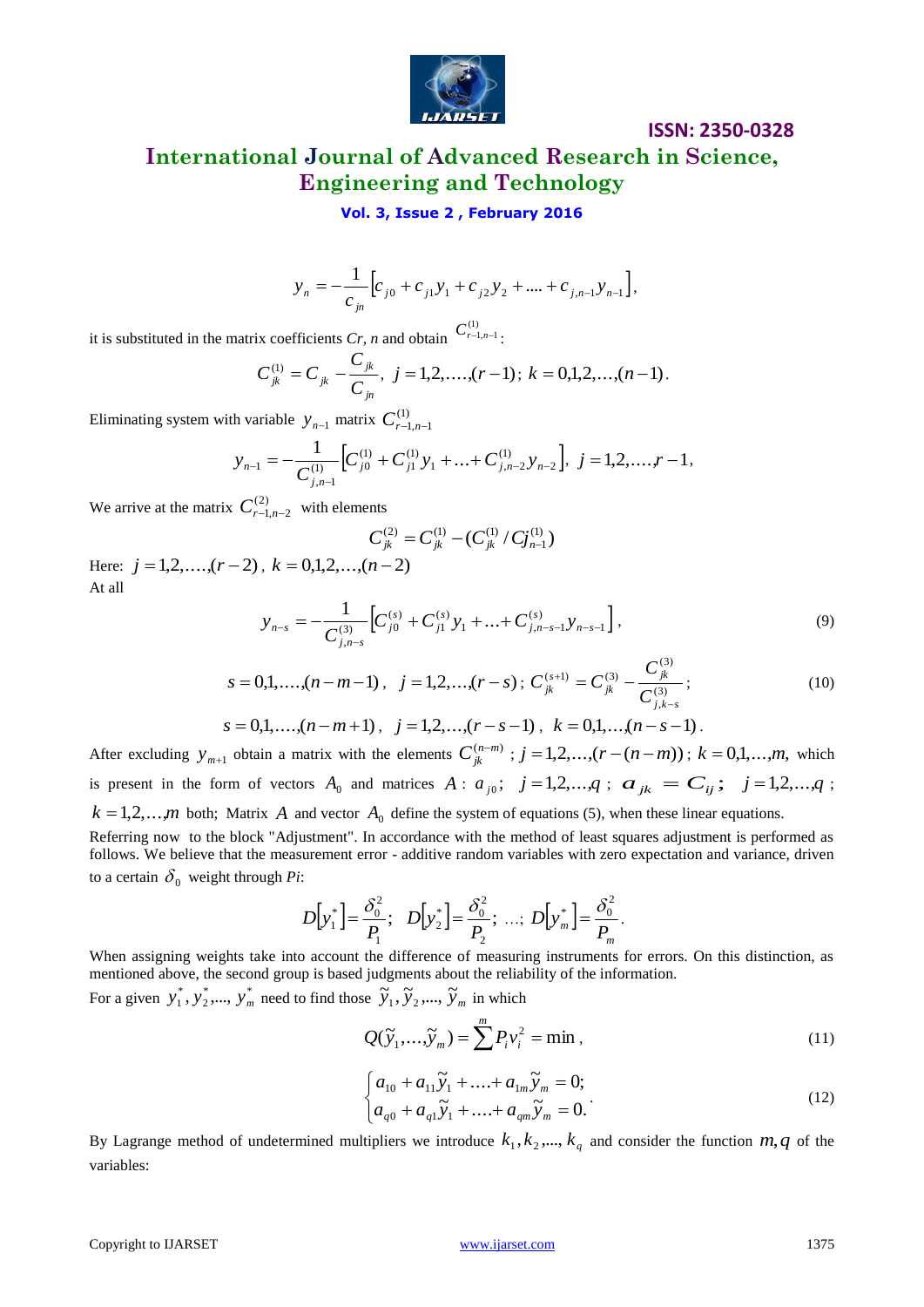

# **International Journal of Advanced Research in Science, Engineering and Technology**

### **Vol. 3, Issue 2 , February 2016**

$$
y_n = -\frac{1}{c_{j_0}} \Big[ c_{j0} + c_{j1} y_1 + c_{j2} y_2 + \dots + c_{j,n-1} y_{n-1} \Big],
$$

it is substituted in the matrix coefficients *Cr*, *n* and obtain  $C_{r-1,n-1}^{(1)}$ .

$$
C_{jk}^{(1)} = C_{jk} - \frac{C_{jk}}{C_{jn}}, \ j = 1, 2, \dots, (r-1); \ k = 0, 1, 2, \dots, (n-1).
$$

Eliminating system with variable  $y_{n-1}$  matrix  $C^{(1)}_{r-1,n-1}$ 

$$
y_{n-1} = -\frac{1}{C_{j,n-1}^{(1)}} \Big[ C_{j0}^{(1)} + C_{j1}^{(1)} y_1 + \ldots + C_{j,n-2}^{(1)} y_{n-2} \Big], \ j = 1, 2, \ldots, r-1,
$$

We arrive at the matrix  $C_{r-1,n-2}^{(2)}$  with elements

$$
C_{jk}^{(2)} = C_{jk}^{(1)} - (C_{jk}^{(1)}/C_{jn-1}^{(1)})
$$

Here:  $j = 1, 2, \ldots, (r-2)$ ,  $k = 0, 1, 2, \ldots, (n-2)$ At all

$$
y_{n-s} = -\frac{1}{C_{j,n-s}^{(3)}} \Big[ C_{j0}^{(s)} + C_{j1}^{(s)} y_1 + \dots + C_{j,n-s-1}^{(s)} y_{n-s-1} \Big],
$$
\n(9)

$$
s = 0, 1, \dots, (n - m - 1), \quad j = 1, 2, \dots, (r - s); \quad C_{jk}^{(s+1)} = C_{jk}^{(3)} - \frac{C_{jk}^{(3)}}{C_{j,k-s}^{(3)}};
$$
\n
$$
(10)
$$

$$
s = 0,1,...,(n-m+1), \quad j = 1,2,...,(r-s-1), \quad k = 0,1,...,(n-s-1).
$$

 $y_x = -\frac{1}{C_{\text{gas}}} [r_{\beta} + c_{\beta} y_{\perp} + c_{\beta} y_{\perp} + \ldots + c_{\alpha+1} y_{\perp}]$ .<br>
Eti solvenimel to the matrix confidence Cr, and chein  $C_{\text{gas}}^{\text{S}}$ .<br>
Copyright to Copyright to IVARSET with the IVARS Copyright to IVARS ( $C_{\text{gas}}^{\text$ After excluding  $y_{m+1}$  obtain a matrix with the elements  $C_{jk}^{(n-m)}$ ;  $j = 1, 2, ..., (r - (n-m))$ ;  $k = 0, 1, ..., m$ , which is present in the form of vectors  $A_0$  and matrices  $A: a_{j0}$ ;  $j=1,2,...,q$ ;  $a_{jk} = C_{ij}$ ;  $j=1,2,...,q$ ;  $k = 1, 2, \ldots, m$  both; Matrix A and vector  $A_0$  define the system of equations (5), when these linear equations. Referring now to the block "Adjustment". In accordance with the method of least squares adjustment is performed as

follows. We believe that the measurement error - additive random variables with zero expectation and variance, driven to a certain  $\delta_0$  weight through *Pi*:

$$
D[y_1^*] = \frac{\delta_0^2}{P_1}; \quad D[y_2^*] = \frac{\delta_0^2}{P_2}; \ \ldots; \ D[y_m^*] = \frac{\delta_0^2}{P_m}.
$$

When assigning weights take into account the difference of measuring instruments for errors. On this distinction, as mentioned above, the second group is based judgments about the reliability of the information.

For a given  $y_1^*, y_2^*, ..., y_n^*$ 2 \*  $y_1^*, y_2^*,..., y_m^*$  need to find those  $\widetilde{y}_1, \widetilde{y}_2,..., \widetilde{y}_m$  in which

$$
Q(\widetilde{y}_1,\ldots,\widetilde{y}_m) = \sum^m P_i v_i^2 = \min , \qquad (11)
$$

$$
\begin{cases} a_{10} + a_{11} \tilde{y}_1 + \dots + a_{1m} \tilde{y}_m = 0; \\ a_{q0} + a_{q1} \tilde{y}_1 + \dots + a_{qm} \tilde{y}_m = 0. \end{cases}
$$
 (12)

By Lagrange method of undetermined multipliers we introduce  $k_1, k_2, ..., k_q$  and consider the function  $m, q$  of the variables: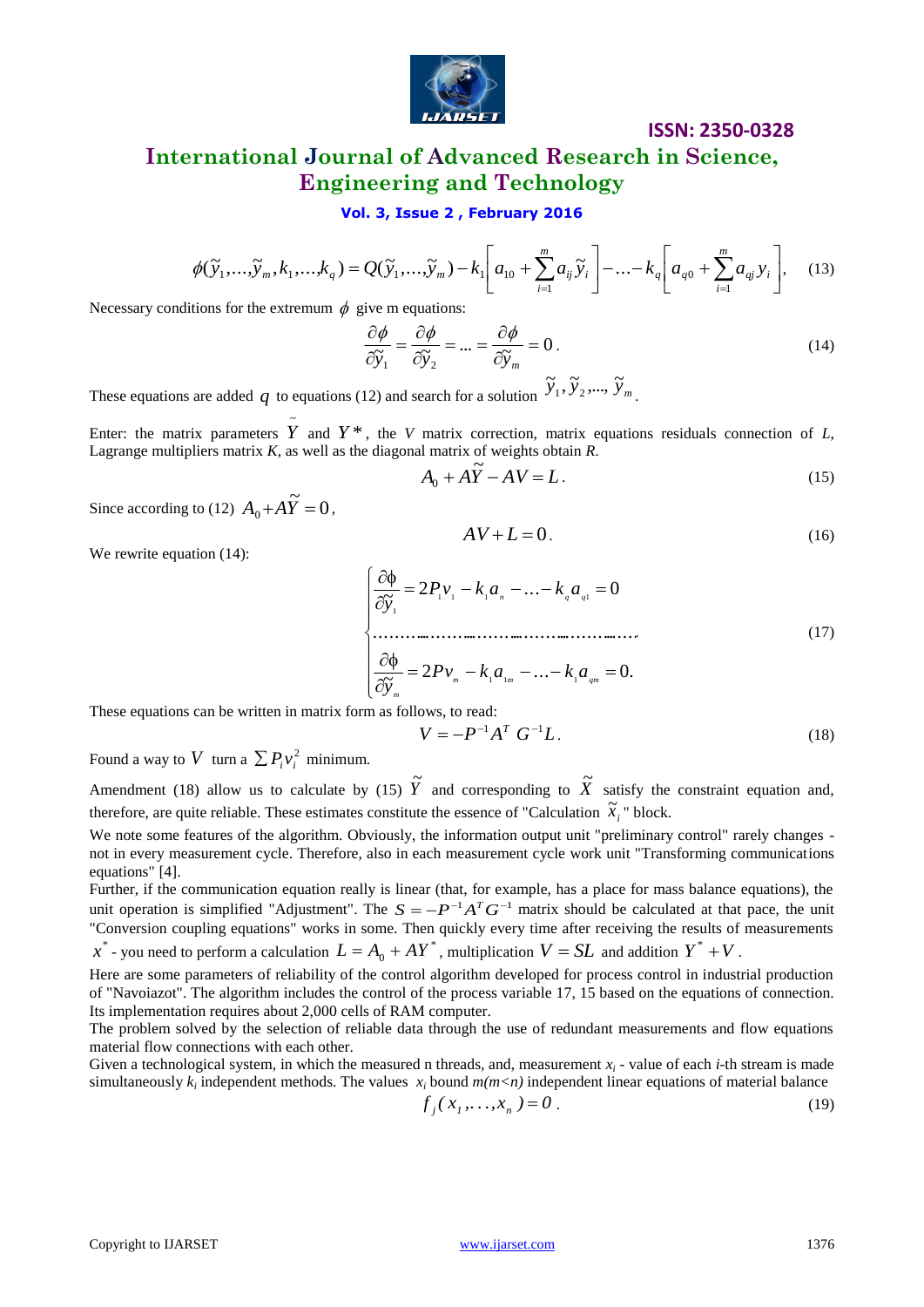

### **International Journal of Advanced Research in Science, Engineering and Technology**

### **Vol. 3, Issue 2 , February 2016**

$$
\phi(\tilde{y}_1, ..., \tilde{y}_m, k_1, ..., k_q) = Q(\tilde{y}_1, ..., \tilde{y}_m) - k_1 \left[ a_{10} + \sum_{i=1}^m a_{ij} \tilde{y}_i \right] - ... - k_q \left[ a_{q0} + \sum_{i=1}^m a_{ij} y_i \right],
$$
 (13)

Necessary conditions for the extremum  $\phi$  give m equations:

$$
\frac{\partial \phi}{\partial \widetilde{y}_1} = \frac{\partial \phi}{\partial \widetilde{y}_2} = \dots = \frac{\partial \phi}{\partial \widetilde{y}_m} = 0.
$$
\n(14)

These equations are added q to equations (12) and search for a solution  $\tilde{y}_1$ ,  $\tilde{y}_2$ ,...,  $\tilde{y}_m$ .

Enter: the matrix parameters  $\tilde{Y}$  and  $Y^*$ , the *V* matrix correction, matrix equations residuals connection of *L*, Lagrange multipliers matrix *K*, as well as the diagonal matrix of weights obtain *R*.

$$
A_0 + A\ddot{Y} - AV = L. \tag{15}
$$

Since according to (12)  $A_0 + A\widetilde{Y} = 0$ ,

$$
AV + L = 0. \tag{16}
$$

We rewrite equation  $(14)$ :

Copyright to IJARSET [www.ijarset.com](http://www.ijarset.com/) 1376 2 ... 0. ~ ........................................................ 2 ... 0 ~ 1 1 1 1 1 1 1 1 *m m qm m n q q Pv k a k a y Pv k a k a y* . (17)

These equations can be written in matrix form as follows, to read:

$$
V = -P^{-1}A^T G^{-1}L.
$$
 (18)

Found a way to V turn a  $\sum P_i v_i^2$  minimum.

Amendment (18) allow us to calculate by (15)  $\tilde{Y}$  and corresponding to  $\tilde{X}$  satisfy the constraint equation and, therefore, are quite reliable. These estimates constitute the essence of "Calculation  $\tilde{x}_i$ " block.

We note some features of the algorithm. Obviously, the information output unit "preliminary control" rarely changes not in every measurement cycle. Therefore, also in each measurement cycle work unit "Transforming communications equations" [4].

Further, if the communication equation really is linear (that, for example, has a place for mass balance equations), the unit operation is simplified "Adjustment". The  $S = -P^{-1}A^T G^{-1}$  matrix should be calculated at that pace, the unit "Conversion coupling equations" works in some. Then quickly every time after receiving the results of measurements  $x^*$  - you need to perform a calculation  $L = A_0 + AY^*$ , multiplication  $V = SL$  and addition  $Y^* + V$ .

Here are some parameters of reliability of the control algorithm developed for process control in industrial production of "Navoiazot". The algorithm includes the control of the process variable 17, 15 based on the equations of connection. Its implementation requires about 2,000 cells of RAM computer.

The problem solved by the selection of reliable data through the use of redundant measurements and flow equations material flow connections with each other.

Given a technological system, in which the measured n threads, and, measurement  $x_i$  - value of each *i*-th stream is made simultaneously  $k_i$  independent methods. The values  $x_i$  bound  $m(m < n)$  independent linear equations of material balance

$$
f_j(x_1, \dots, x_n) = 0.
$$
 (19)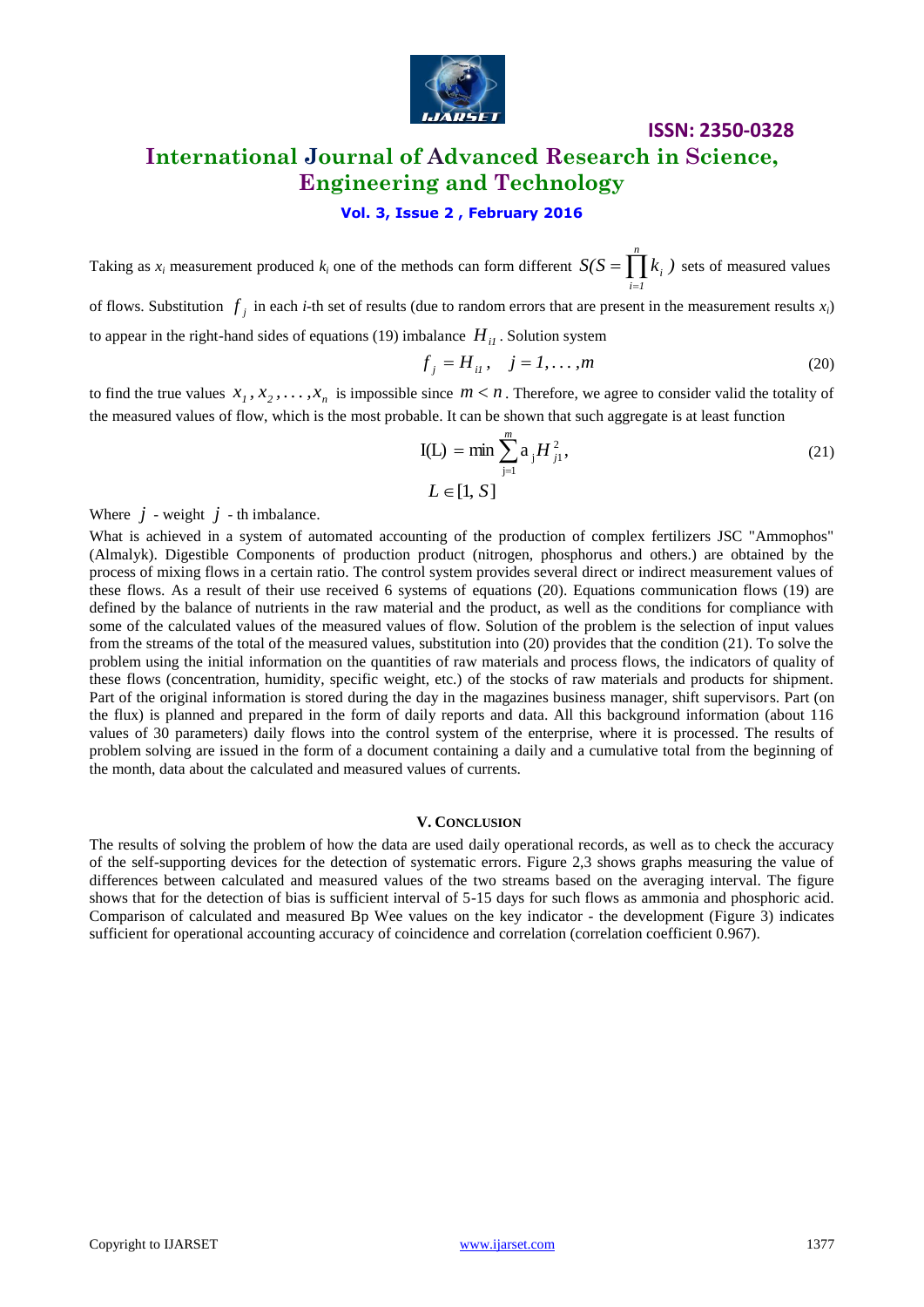

# **ISSN: 2350-0328 International Journal of Advanced Research in Science, Engineering and Technology**

### **Vol. 3, Issue 2 , February 2016**

Taking as  $x_i$  measurement produced  $k_i$  one of the methods can form different  $S(S = \mid k_i)$  $=\prod_{i=1}^{n} k_i$  ) sets of measured values *i 1* =

of flows. Substitution  $f_j$  in each *i*-th set of results (due to random errors that are present in the measurement results  $x_i$ ) to appear in the right-hand sides of equations (19) imbalance  $H_{il}$ . Solution system

$$
f_j = H_{il}, \quad j = 1, ..., m
$$
 (20)

to find the true values  $x_1, x_2, \ldots, x_n$  is impossible since  $m < n$ . Therefore, we agree to consider valid the totality of the measured values of flow, which is the most probable. It can be shown that such aggregate is at least function

$$
I(L) = \min \sum_{j=1}^{m} a_j H_{j1}^2,
$$
  
\n
$$
L \in [1, S]
$$
 (21)

Where  $j$  - weight  $j$  - th imbalance.

What is achieved in a system of automated accounting of the production of complex fertilizers JSC "Ammophos" (Almalyk). Digestible Components of production product (nitrogen, phosphorus and others.) are obtained by the process of mixing flows in a certain ratio. The control system provides several direct or indirect measurement values of these flows. As a result of their use received 6 systems of equations (20). Equations communication flows (19) are defined by the balance of nutrients in the raw material and the product, as well as the conditions for compliance with some of the calculated values of the measured values of flow. Solution of the problem is the selection of input values from the streams of the total of the measured values, substitution into (20) provides that the condition (21). To solve the problem using the initial information on the quantities of raw materials and process flows, the indicators of quality of these flows (concentration, humidity, specific weight, etc.) of the stocks of raw materials and products for shipment. Part of the original information is stored during the day in the magazines business manager, shift supervisors. Part (on the flux) is planned and prepared in the form of daily reports and data. All this background information (about 116 values of 30 parameters) daily flows into the control system of the enterprise, where it is processed. The results of problem solving are issued in the form of a document containing a daily and a cumulative total from the beginning of the month, data about the calculated and measured values of currents.

#### **V. CONCLUSION**

The results of solving the problem of how the data are used daily operational records, as well as to check the accuracy of the self-supporting devices for the detection of systematic errors. Figure 2,3 shows graphs measuring the value of differences between calculated and measured values of the two streams based on the averaging interval. The figure shows that for the detection of bias is sufficient interval of 5-15 days for such flows as ammonia and phosphoric acid. Comparison of calculated and measured Bp Wee values on the key indicator - the development (Figure 3) indicates sufficient for operational accounting accuracy of coincidence and correlation (correlation coefficient 0.967).